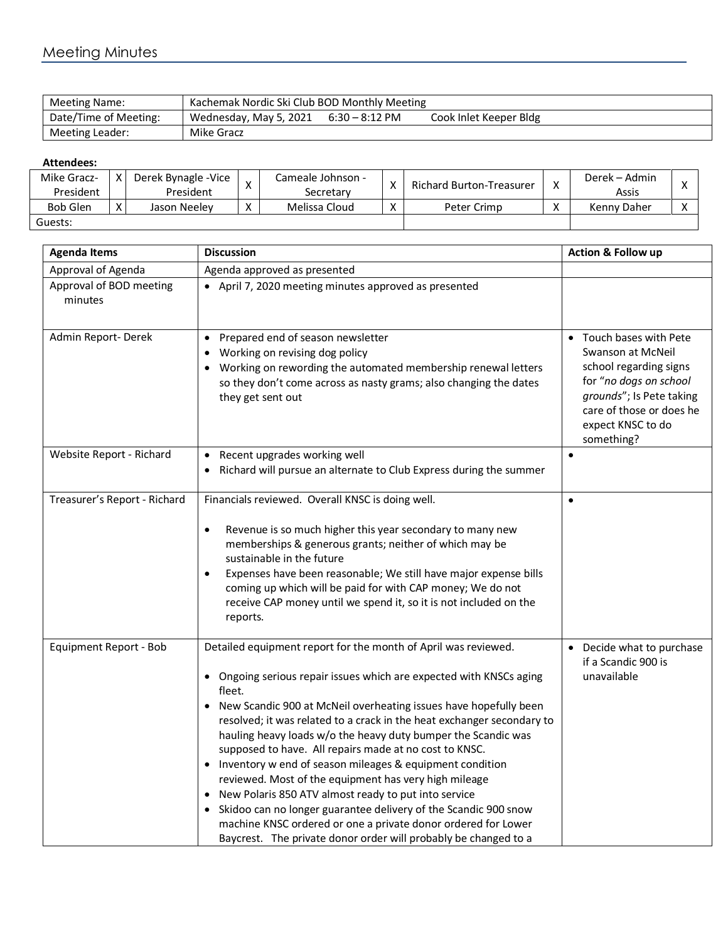| <b>Meeting Name:</b>  | Kachemak Nordic Ski Club BOD Monthly Meeting |                  |                        |  |  |
|-----------------------|----------------------------------------------|------------------|------------------------|--|--|
| Date/Time of Meeting: | Wednesday, May 5, 2021                       | $6:30 - 8:12$ PM | Cook Inlet Keeper Bldg |  |  |
| Meeting Leader:       | Mike Gracz                                   |                  |                        |  |  |

## **Attendees:**

| Mike Gracz-<br>President | v                 | Derek Bynagle - Vice<br>President |                   | Cameale Johnson -<br>Secretarv | $\checkmark$ | Richard Burton-Treasurer | Derek – Admin<br>Assis |  |
|--------------------------|-------------------|-----------------------------------|-------------------|--------------------------------|--------------|--------------------------|------------------------|--|
| <b>Bob Glen</b>          | $\mathbf{v}$<br>Λ | Jason Neelev                      | $\mathbf{v}$<br>◠ | Melissa Cloud                  |              | Peter Crimp              | Kenny Daher            |  |
| Guests:                  |                   |                                   |                   |                                |              |                          |                        |  |

| <b>Agenda Items</b>                | <b>Discussion</b>                                                                                                                                                                                                                                                                                                                                                                                                                                                                                                                                                                                                                                                                                                                                                                                          | <b>Action &amp; Follow up</b>                                                                                                                                                               |
|------------------------------------|------------------------------------------------------------------------------------------------------------------------------------------------------------------------------------------------------------------------------------------------------------------------------------------------------------------------------------------------------------------------------------------------------------------------------------------------------------------------------------------------------------------------------------------------------------------------------------------------------------------------------------------------------------------------------------------------------------------------------------------------------------------------------------------------------------|---------------------------------------------------------------------------------------------------------------------------------------------------------------------------------------------|
| Approval of Agenda                 | Agenda approved as presented                                                                                                                                                                                                                                                                                                                                                                                                                                                                                                                                                                                                                                                                                                                                                                               |                                                                                                                                                                                             |
| Approval of BOD meeting<br>minutes | • April 7, 2020 meeting minutes approved as presented                                                                                                                                                                                                                                                                                                                                                                                                                                                                                                                                                                                                                                                                                                                                                      |                                                                                                                                                                                             |
| Admin Report-Derek                 | Prepared end of season newsletter<br>$\bullet$<br>Working on revising dog policy<br>Working on rewording the automated membership renewal letters<br>so they don't come across as nasty grams; also changing the dates<br>they get sent out                                                                                                                                                                                                                                                                                                                                                                                                                                                                                                                                                                | • Touch bases with Pete<br>Swanson at McNeil<br>school regarding signs<br>for "no dogs on school<br>grounds"; Is Pete taking<br>care of those or does he<br>expect KNSC to do<br>something? |
| Website Report - Richard           | Recent upgrades working well<br>$\bullet$<br>Richard will pursue an alternate to Club Express during the summer                                                                                                                                                                                                                                                                                                                                                                                                                                                                                                                                                                                                                                                                                            | $\bullet$                                                                                                                                                                                   |
| Treasurer's Report - Richard       | Financials reviewed. Overall KNSC is doing well.<br>Revenue is so much higher this year secondary to many new<br>$\bullet$<br>memberships & generous grants; neither of which may be<br>sustainable in the future<br>Expenses have been reasonable; We still have major expense bills<br>٠<br>coming up which will be paid for with CAP money; We do not<br>receive CAP money until we spend it, so it is not included on the<br>reports.                                                                                                                                                                                                                                                                                                                                                                  | $\bullet$                                                                                                                                                                                   |
| Equipment Report - Bob             | Detailed equipment report for the month of April was reviewed.<br>Ongoing serious repair issues which are expected with KNSCs aging<br>fleet.<br>New Scandic 900 at McNeil overheating issues have hopefully been<br>resolved; it was related to a crack in the heat exchanger secondary to<br>hauling heavy loads w/o the heavy duty bumper the Scandic was<br>supposed to have. All repairs made at no cost to KNSC.<br>Inventory w end of season mileages & equipment condition<br>reviewed. Most of the equipment has very high mileage<br>New Polaris 850 ATV almost ready to put into service<br>Skidoo can no longer guarantee delivery of the Scandic 900 snow<br>machine KNSC ordered or one a private donor ordered for Lower<br>Baycrest. The private donor order will probably be changed to a | • Decide what to purchase<br>if a Scandic 900 is<br>unavailable                                                                                                                             |